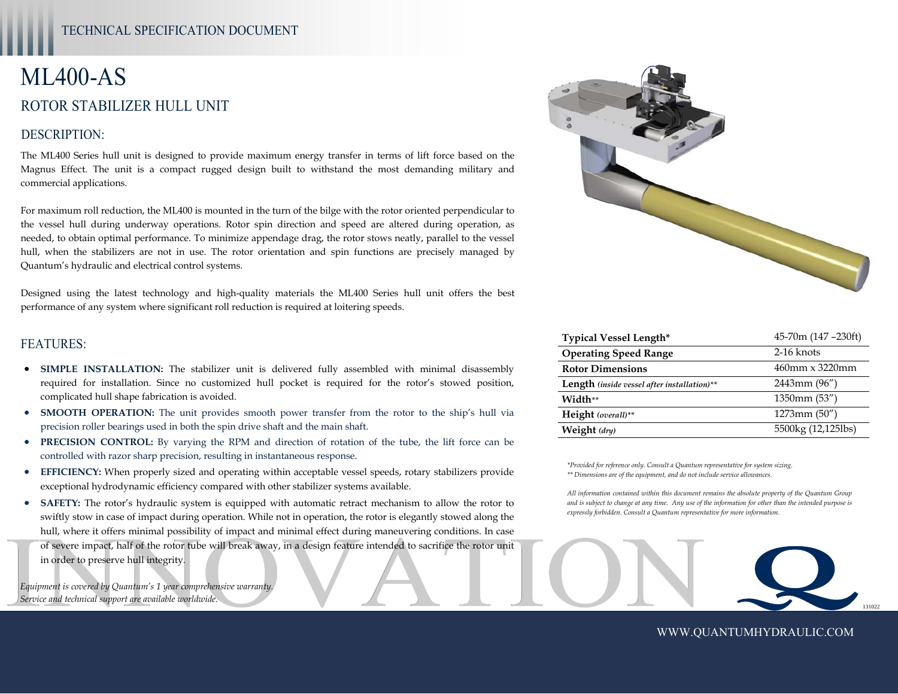# ML400-AS ROTOR STABILIZER HULL UNIT

#### DESCRIPTION:

The ML400 Series hull unit is designed to provide maximum energy transfer in terms of lift force based on the Magnus Effect. The unit is a compact rugged design built to withstand the most demanding military and commercial applications.

For maximum roll reduction, the ML400 is mounted in the turn of the bilge with the rotor oriented perpendicular to the vessel hull during underway operations. Rotor spin direction and speed are altered during operation, as needed, to obtain optimal performance. To minimize appendage drag, the rotor stows neatly, parallel to the vessel hull, when the stabilizers are not in use. The rotor orientation and spin functions are precisely managed by Quantum's hydraulic and electrical control systems.

Designed using the latest technology and high-quality materials the ML400 Series hull unit offers the best performance of any system where significant roll reduction is required at loitering speeds.

#### FEATURES:

- **SIMPLE INSTALLATION:** The stabilizer unit is delivered fully assembled with minimal disassembly required for installation. Since no customized hull pocket is required for the rotor's stowed position, complicated hull shape fabrication is avoided.
- **SMOOTH OPERATION:** The unit provides smooth power transfer from the rotor to the ship's hull via precision roller bearings used in both the spin drive shaft and the main shaft.
- **PRECISION CONTROL:** By varying the RPM and direction of rotation of the tube, the lift force can be controlled with razor sharp precision, resulting in instantaneous response.
- **EFFICIENCY:** When properly sized and operating within acceptable vessel speeds, rotary stabilizers provide exceptional hydrodynamic efficiency compared with other stabilizer systems available.
- Of severe impact, half of the rotor tube will break away, in a design feature intended to sacrifice the rotor unit<br>in order to preserve hull integrity.<br>Equipment is covered by Quantum's 1 year comprehensive warranty,<br>Servi **SAFETY:** The rotor's hydraulic system is equipped with automatic retract mechanism to allow the rotor to swiftly stow in case of impact during operation. While not in operation, the rotor is elegantly stowed along the hull, where it offers minimal possibility of impact and minimal effect during maneuvering conditions. In case in order to preserve hull integrity.

*Equipment is covered by Quantum's 1 year comprehensive warranty. Service and technical support are available worldwide.* 



| <b>Typical Vessel Length*</b>                      | 45-70m (147 -230ft) |
|----------------------------------------------------|---------------------|
| <b>Operating Speed Range</b>                       | $2-16$ knots        |
| <b>Rotor Dimensions</b>                            | 460mm x 3220mm      |
| <b>Length</b> (inside vessel after installation)** | $2443$ mm $(96'')$  |
| Width**                                            | $1350$ mm $(53'')$  |
| Height (overall)**                                 | $1273$ mm $(50'')$  |
| Weight (dry)                                       | 5500kg (12,125lbs)  |

*\*Provided for reference only. Consult a Quantum representative for system sizing. \*\* Dimensions are of the equipment, and do not include service allowances.* 

*All information contained within this document remains the absolute property of the Quantum Group and is subject to change at any time. Any use of the information for other than the intended purpose is expressly forbidden. Consult a Quantum representative for more information.* 

WWW.QUANTUMHYDRAULIC.COM

131022